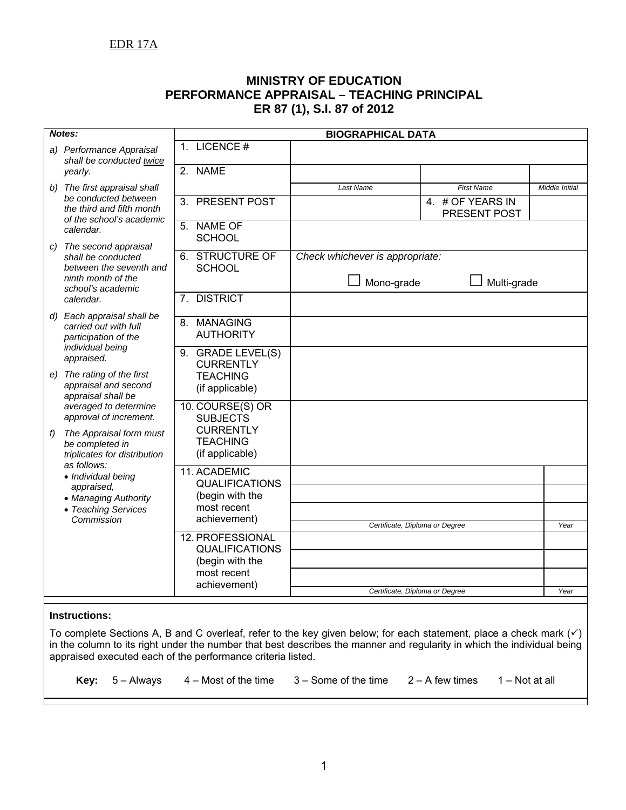## **MINISTRY OF EDUCATION PERFORMANCE APPRAISAL – TEACHING PRINCIPAL ER 87 (1), S.I. 87 of 2012**

| Notes: |                                                                                                                                                                                                                   |                                                        | <b>BIOGRAPHICAL DATA</b>        |                                  |                |
|--------|-------------------------------------------------------------------------------------------------------------------------------------------------------------------------------------------------------------------|--------------------------------------------------------|---------------------------------|----------------------------------|----------------|
|        | a) Performance Appraisal<br>shall be conducted twice                                                                                                                                                              | 1. LICENCE #                                           |                                 |                                  |                |
|        | yearly.                                                                                                                                                                                                           | 2. NAME                                                |                                 |                                  |                |
| b)     | The first appraisal shall                                                                                                                                                                                         |                                                        | Last Name                       | <b>First Name</b>                | Middle Initial |
|        | be conducted between<br>the third and fifth month<br>of the school's academic<br>calendar.<br>c) The second appraisal<br>shall be conducted<br>between the seventh and<br>ninth month of the<br>school's academic | <b>PRESENT POST</b><br>3.                              |                                 | 4. # OF YEARS IN<br>PRESENT POST |                |
|        |                                                                                                                                                                                                                   | 5. NAME OF<br><b>SCHOOL</b>                            |                                 |                                  |                |
|        |                                                                                                                                                                                                                   | <b>6. STRUCTURE OF</b><br><b>SCHOOL</b>                | Check whichever is appropriate: |                                  |                |
|        |                                                                                                                                                                                                                   |                                                        | □ Mono-grade                    | Multi-grade                      |                |
|        | calendar.                                                                                                                                                                                                         | <b>DISTRICT</b><br>7.                                  |                                 |                                  |                |
|        | d) Each appraisal shall be<br>carried out with full<br>participation of the                                                                                                                                       | 8. MANAGING<br><b>AUTHORITY</b>                        |                                 |                                  |                |
|        | individual being<br>appraised.                                                                                                                                                                                    | 9. GRADE LEVEL(S)<br><b>CURRENTLY</b>                  |                                 |                                  |                |
|        | e) The rating of the first<br>appraisal and second<br>appraisal shall be                                                                                                                                          | <b>TEACHING</b><br>(if applicable)                     |                                 |                                  |                |
|        | averaged to determine<br>approval of increment.                                                                                                                                                                   | 10. COURSE(S) OR<br><b>SUBJECTS</b>                    |                                 |                                  |                |
| f)     | The Appraisal form must<br>be completed in<br>triplicates for distribution                                                                                                                                        | <b>CURRENTLY</b><br><b>TEACHING</b><br>(if applicable) |                                 |                                  |                |
|        | as follows:<br>· Individual being                                                                                                                                                                                 | 11. ACADEMIC                                           |                                 |                                  |                |
|        | appraised,<br>• Managing Authority                                                                                                                                                                                | <b>QUALIFICATIONS</b><br>(begin with the               |                                 |                                  |                |
|        | • Teaching Services<br>Commission                                                                                                                                                                                 | most recent<br>achievement)                            |                                 |                                  |                |
|        |                                                                                                                                                                                                                   |                                                        | Certificate, Diploma or Degree  |                                  | Year           |
|        |                                                                                                                                                                                                                   | 12. PROFESSIONAL<br><b>QUALIFICATIONS</b>              |                                 |                                  |                |
|        |                                                                                                                                                                                                                   | (begin with the<br>most recent                         |                                 |                                  |                |
|        |                                                                                                                                                                                                                   | achievement)                                           |                                 |                                  | Year           |
|        |                                                                                                                                                                                                                   |                                                        | Certificate, Diploma or Degree  |                                  |                |
|        | Instructions:                                                                                                                                                                                                     |                                                        |                                 |                                  |                |

## **Instructions:**

To complete Sections A, B and C overleaf, refer to the key given below; for each statement, place a check mark  $(4)$ in the column to its right under the number that best describes the manner and regularity in which the individual being appraised executed each of the performance criteria listed.

**Key:** 5 – Always 4 – Most of the time 3 – Some of the time 2 – A few times 1 – Not at all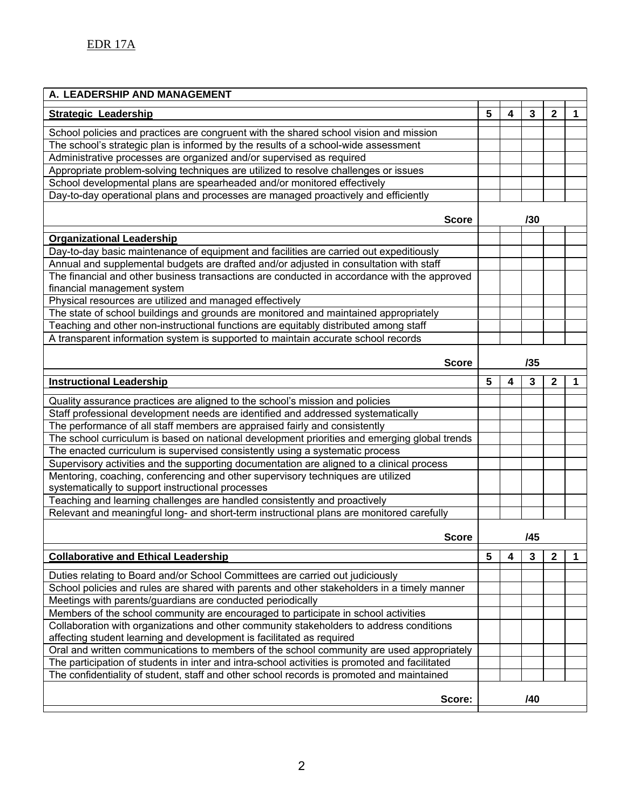| A. LEADERSHIP AND MANAGEMENT                                                                   |     |     |     |              |   |
|------------------------------------------------------------------------------------------------|-----|-----|-----|--------------|---|
| <b>Strategic Leadership</b>                                                                    | 5   | 4   | 3   | $\mathbf{2}$ | 1 |
| School policies and practices are congruent with the shared school vision and mission          |     |     |     |              |   |
| The school's strategic plan is informed by the results of a school-wide assessment             |     |     |     |              |   |
| Administrative processes are organized and/or supervised as required                           |     |     |     |              |   |
| Appropriate problem-solving techniques are utilized to resolve challenges or issues            |     |     |     |              |   |
| School developmental plans are spearheaded and/or monitored effectively                        |     |     |     |              |   |
| Day-to-day operational plans and processes are managed proactively and efficiently             |     |     |     |              |   |
|                                                                                                |     |     |     |              |   |
| <b>Score</b>                                                                                   |     | /30 |     |              |   |
| <b>Organizational Leadership</b>                                                               |     |     |     |              |   |
| Day-to-day basic maintenance of equipment and facilities are carried out expeditiously         |     |     |     |              |   |
| Annual and supplemental budgets are drafted and/or adjusted in consultation with staff         |     |     |     |              |   |
| The financial and other business transactions are conducted in accordance with the approved    |     |     |     |              |   |
| financial management system                                                                    |     |     |     |              |   |
| Physical resources are utilized and managed effectively                                        |     |     |     |              |   |
| The state of school buildings and grounds are monitored and maintained appropriately           |     |     |     |              |   |
| Teaching and other non-instructional functions are equitably distributed among staff           |     |     |     |              |   |
| A transparent information system is supported to maintain accurate school records              |     |     |     |              |   |
|                                                                                                |     |     |     |              |   |
| <b>Score</b>                                                                                   |     | /35 |     |              |   |
| <b>Instructional Leadership</b>                                                                | 5   | 4   | 3   | $\mathbf 2$  | 1 |
| Quality assurance practices are aligned to the school's mission and policies                   |     |     |     |              |   |
| Staff professional development needs are identified and addressed systematically               |     |     |     |              |   |
| The performance of all staff members are appraised fairly and consistently                     |     |     |     |              |   |
| The school curriculum is based on national development priorities and emerging global trends   |     |     |     |              |   |
| The enacted curriculum is supervised consistently using a systematic process                   |     |     |     |              |   |
| Supervisory activities and the supporting documentation are aligned to a clinical process      |     |     |     |              |   |
| Mentoring, coaching, conferencing and other supervisory techniques are utilized                |     |     |     |              |   |
| systematically to support instructional processes                                              |     |     |     |              |   |
| Teaching and learning challenges are handled consistently and proactively                      |     |     |     |              |   |
| Relevant and meaningful long- and short-term instructional plans are monitored carefully       |     |     |     |              |   |
|                                                                                                |     |     |     |              |   |
| <b>Score</b>                                                                                   | /45 |     |     |              |   |
| <b>Collaborative and Ethical Leadership</b>                                                    | 5   | 4   | 3   | $\mathbf{2}$ | 1 |
| Duties relating to Board and/or School Committees are carried out judiciously                  |     |     |     |              |   |
| School policies and rules are shared with parents and other stakeholders in a timely manner    |     |     |     |              |   |
| Meetings with parents/guardians are conducted periodically                                     |     |     |     |              |   |
| Members of the school community are encouraged to participate in school activities             |     |     |     |              |   |
| Collaboration with organizations and other community stakeholders to address conditions        |     |     |     |              |   |
| affecting student learning and development is facilitated as required                          |     |     |     |              |   |
| Oral and written communications to members of the school community are used appropriately      |     |     |     |              |   |
| The participation of students in inter and intra-school activities is promoted and facilitated |     |     |     |              |   |
| The confidentiality of student, staff and other school records is promoted and maintained      |     |     |     |              |   |
|                                                                                                |     |     |     |              |   |
| Score:                                                                                         |     |     | /40 |              |   |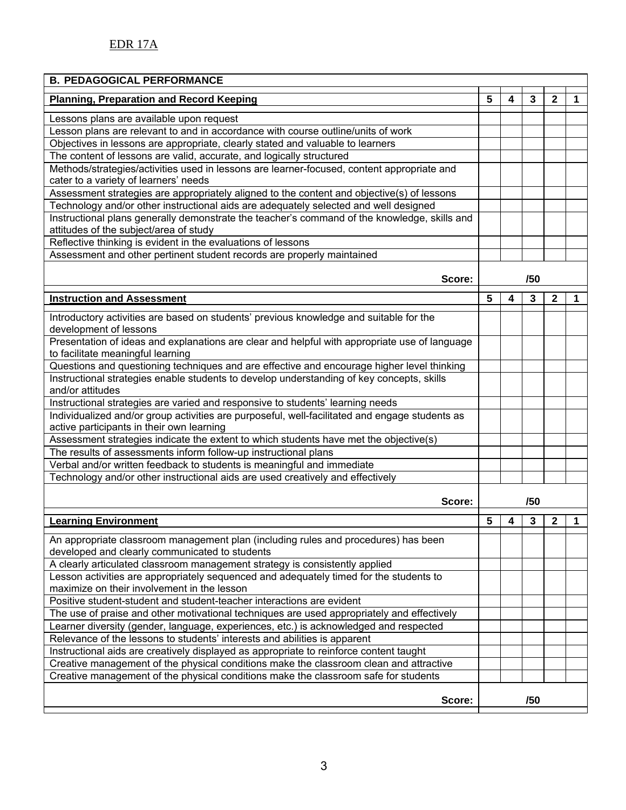| <b>B. PEDAGOGICAL PERFORMANCE</b>                                                                                                           |   |   |     |              |   |
|---------------------------------------------------------------------------------------------------------------------------------------------|---|---|-----|--------------|---|
| <b>Planning, Preparation and Record Keeping</b>                                                                                             | 5 | 4 | 3   | $\mathbf{2}$ | 1 |
| Lessons plans are available upon request                                                                                                    |   |   |     |              |   |
| Lesson plans are relevant to and in accordance with course outline/units of work                                                            |   |   |     |              |   |
| Objectives in lessons are appropriate, clearly stated and valuable to learners                                                              |   |   |     |              |   |
| The content of lessons are valid, accurate, and logically structured                                                                        |   |   |     |              |   |
| Methods/strategies/activities used in lessons are learner-focused, content appropriate and                                                  |   |   |     |              |   |
| cater to a variety of learners' needs                                                                                                       |   |   |     |              |   |
| Assessment strategies are appropriately aligned to the content and objective(s) of lessons                                                  |   |   |     |              |   |
| Technology and/or other instructional aids are adequately selected and well designed                                                        |   |   |     |              |   |
| Instructional plans generally demonstrate the teacher's command of the knowledge, skills and<br>attitudes of the subject/area of study      |   |   |     |              |   |
| Reflective thinking is evident in the evaluations of lessons                                                                                |   |   |     |              |   |
| Assessment and other pertinent student records are properly maintained                                                                      |   |   |     |              |   |
| Score:                                                                                                                                      |   |   | /50 |              |   |
| <b>Instruction and Assessment</b>                                                                                                           | 5 | 4 | 3   | $\mathbf{2}$ | 1 |
| Introductory activities are based on students' previous knowledge and suitable for the<br>development of lessons                            |   |   |     |              |   |
| Presentation of ideas and explanations are clear and helpful with appropriate use of language<br>to facilitate meaningful learning          |   |   |     |              |   |
| Questions and questioning techniques and are effective and encourage higher level thinking                                                  |   |   |     |              |   |
| Instructional strategies enable students to develop understanding of key concepts, skills                                                   |   |   |     |              |   |
| and/or attitudes                                                                                                                            |   |   |     |              |   |
| Instructional strategies are varied and responsive to students' learning needs                                                              |   |   |     |              |   |
| Individualized and/or group activities are purposeful, well-facilitated and engage students as<br>active participants in their own learning |   |   |     |              |   |
| Assessment strategies indicate the extent to which students have met the objective(s)                                                       |   |   |     |              |   |
| The results of assessments inform follow-up instructional plans                                                                             |   |   |     |              |   |
| Verbal and/or written feedback to students is meaningful and immediate                                                                      |   |   |     |              |   |
| Technology and/or other instructional aids are used creatively and effectively                                                              |   |   |     |              |   |
| Score:                                                                                                                                      |   |   | /50 |              |   |
|                                                                                                                                             |   |   |     |              |   |
| <b>Learning Environment</b>                                                                                                                 | 5 | 4 | 3   | 2            | 1 |
| An appropriate classroom management plan (including rules and procedures) has been<br>developed and clearly communicated to students        |   |   |     |              |   |
| A clearly articulated classroom management strategy is consistently applied                                                                 |   |   |     |              |   |
| Lesson activities are appropriately sequenced and adequately timed for the students to<br>maximize on their involvement in the lesson       |   |   |     |              |   |
| Positive student-student and student-teacher interactions are evident                                                                       |   |   |     |              |   |
| The use of praise and other motivational techniques are used appropriately and effectively                                                  |   |   |     |              |   |
| Learner diversity (gender, language, experiences, etc.) is acknowledged and respected                                                       |   |   |     |              |   |
| Relevance of the lessons to students' interests and abilities is apparent                                                                   |   |   |     |              |   |
| Instructional aids are creatively displayed as appropriate to reinforce content taught                                                      |   |   |     |              |   |
| Creative management of the physical conditions make the classroom clean and attractive                                                      |   |   |     |              |   |
| Creative management of the physical conditions make the classroom safe for students                                                         |   |   |     |              |   |
| Score:                                                                                                                                      |   |   | /50 |              |   |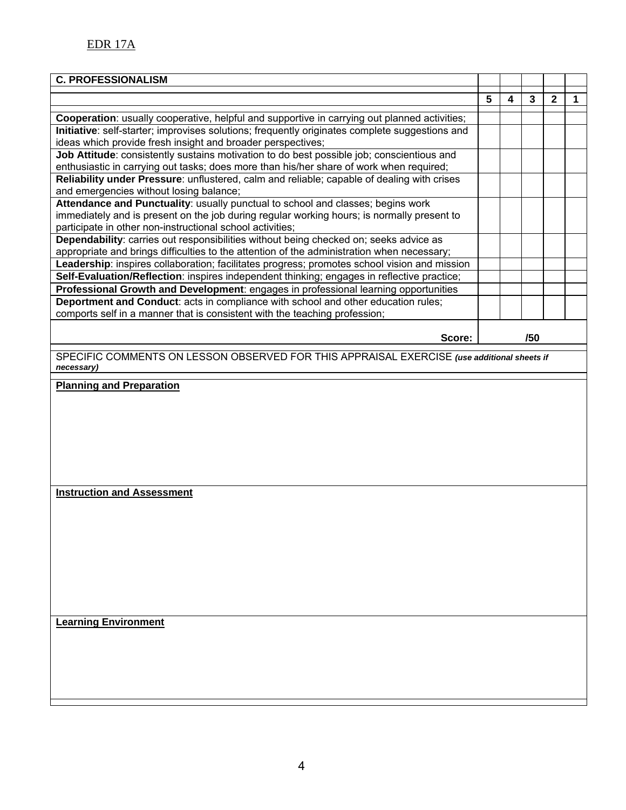| <b>C. PROFESSIONALISM</b>                                                                                                                                     |   |   |     |              |   |
|---------------------------------------------------------------------------------------------------------------------------------------------------------------|---|---|-----|--------------|---|
|                                                                                                                                                               | 5 | 4 | 3   | $\mathbf{2}$ | 1 |
|                                                                                                                                                               |   |   |     |              |   |
| Cooperation: usually cooperative, helpful and supportive in carrying out planned activities;                                                                  |   |   |     |              |   |
| Initiative: self-starter; improvises solutions; frequently originates complete suggestions and<br>ideas which provide fresh insight and broader perspectives; |   |   |     |              |   |
| Job Attitude: consistently sustains motivation to do best possible job; conscientious and                                                                     |   |   |     |              |   |
| enthusiastic in carrying out tasks; does more than his/her share of work when required;                                                                       |   |   |     |              |   |
| Reliability under Pressure: unflustered, calm and reliable; capable of dealing with crises<br>and emergencies without losing balance;                         |   |   |     |              |   |
| Attendance and Punctuality: usually punctual to school and classes; begins work                                                                               |   |   |     |              |   |
| immediately and is present on the job during regular working hours; is normally present to<br>participate in other non-instructional school activities;       |   |   |     |              |   |
| Dependability: carries out responsibilities without being checked on; seeks advice as                                                                         |   |   |     |              |   |
| appropriate and brings difficulties to the attention of the administration when necessary;                                                                    |   |   |     |              |   |
| Leadership: inspires collaboration; facilitates progress; promotes school vision and mission                                                                  |   |   |     |              |   |
| Self-Evaluation/Reflection: inspires independent thinking; engages in reflective practice;                                                                    |   |   |     |              |   |
| Professional Growth and Development: engages in professional learning opportunities                                                                           |   |   |     |              |   |
| Deportment and Conduct: acts in compliance with school and other education rules;                                                                             |   |   |     |              |   |
| comports self in a manner that is consistent with the teaching profession;                                                                                    |   |   |     |              |   |
| Score:                                                                                                                                                        |   |   | /50 |              |   |
| SPECIFIC COMMENTS ON LESSON OBSERVED FOR THIS APPRAISAL EXERCISE (use additional sheets if<br>necessary)                                                      |   |   |     |              |   |
| <b>Planning and Preparation</b><br><b>Instruction and Assessment</b>                                                                                          |   |   |     |              |   |
| <b>Learning Environment</b>                                                                                                                                   |   |   |     |              |   |
|                                                                                                                                                               |   |   |     |              |   |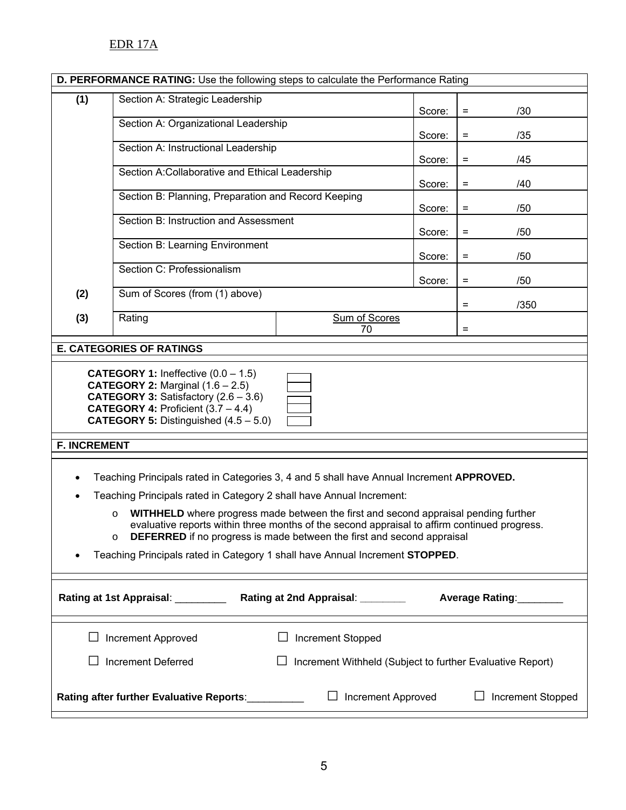## EDR 17A

|                                                                                            | D. PERFORMANCE RATING: Use the following steps to calculate the Performance Rating                                                                                                                                                                                                                                                                                                                                                                                                                                                      |                                                           |        |                          |  |  |  |  |
|--------------------------------------------------------------------------------------------|-----------------------------------------------------------------------------------------------------------------------------------------------------------------------------------------------------------------------------------------------------------------------------------------------------------------------------------------------------------------------------------------------------------------------------------------------------------------------------------------------------------------------------------------|-----------------------------------------------------------|--------|--------------------------|--|--|--|--|
| (1)                                                                                        | Section A: Strategic Leadership                                                                                                                                                                                                                                                                                                                                                                                                                                                                                                         |                                                           | Score: | /30<br>$\equiv$          |  |  |  |  |
|                                                                                            | Section A: Organizational Leadership                                                                                                                                                                                                                                                                                                                                                                                                                                                                                                    |                                                           | Score: | /35<br>$=$               |  |  |  |  |
|                                                                                            | Section A: Instructional Leadership                                                                                                                                                                                                                                                                                                                                                                                                                                                                                                     |                                                           | Score: | /45<br>$\qquad \qquad =$ |  |  |  |  |
|                                                                                            | Section A:Collaborative and Ethical Leadership                                                                                                                                                                                                                                                                                                                                                                                                                                                                                          |                                                           | Score: | /40<br>$=$               |  |  |  |  |
|                                                                                            | Section B: Planning, Preparation and Record Keeping                                                                                                                                                                                                                                                                                                                                                                                                                                                                                     |                                                           | Score: | /50<br>$\qquad \qquad =$ |  |  |  |  |
|                                                                                            | Section B: Instruction and Assessment                                                                                                                                                                                                                                                                                                                                                                                                                                                                                                   |                                                           | Score: | /50<br>$\qquad \qquad =$ |  |  |  |  |
|                                                                                            | Section B: Learning Environment                                                                                                                                                                                                                                                                                                                                                                                                                                                                                                         |                                                           | Score: | /50<br>$\qquad \qquad =$ |  |  |  |  |
|                                                                                            | Section C: Professionalism                                                                                                                                                                                                                                                                                                                                                                                                                                                                                                              |                                                           | Score: | /50<br>$=$               |  |  |  |  |
| (2)                                                                                        | Sum of Scores (from (1) above)                                                                                                                                                                                                                                                                                                                                                                                                                                                                                                          |                                                           |        | /350<br>$\equiv$         |  |  |  |  |
| (3)                                                                                        | Rating                                                                                                                                                                                                                                                                                                                                                                                                                                                                                                                                  | Sum of Scores<br>70                                       |        | $\equiv$                 |  |  |  |  |
|                                                                                            | <b>E. CATEGORIES OF RATINGS</b>                                                                                                                                                                                                                                                                                                                                                                                                                                                                                                         |                                                           |        |                          |  |  |  |  |
|                                                                                            | <b>CATEGORY 1:</b> Ineffective $(0.0 - 1.5)$<br><b>CATEGORY 2:</b> Marginal $(1.6 - 2.5)$<br><b>CATEGORY 3: Satisfactory <math>(2.6 - 3.6)</math></b><br><b>CATEGORY 4: Proficient <math>(3.7 - 4.4)</math></b><br><b>CATEGORY 5:</b> Distinguished $(4.5 - 5.0)$                                                                                                                                                                                                                                                                       |                                                           |        |                          |  |  |  |  |
| <b>F. INCREMENT</b>                                                                        |                                                                                                                                                                                                                                                                                                                                                                                                                                                                                                                                         |                                                           |        |                          |  |  |  |  |
|                                                                                            | Teaching Principals rated in Categories 3, 4 and 5 shall have Annual Increment APPROVED.<br>Teaching Principals rated in Category 2 shall have Annual Increment:<br>WITHHELD where progress made between the first and second appraisal pending further<br>$\circ$<br>evaluative reports within three months of the second appraisal to affirm continued progress.<br>DEFERRED if no progress is made between the first and second appraisal<br>$\circ$<br>Teaching Principals rated in Category 1 shall have Annual Increment STOPPED. |                                                           |        |                          |  |  |  |  |
| Rating at 1st Appraisal: _________<br>Rating at 2nd Appraisal: ________<br>Average Rating: |                                                                                                                                                                                                                                                                                                                                                                                                                                                                                                                                         |                                                           |        |                          |  |  |  |  |
|                                                                                            | Increment Approved                                                                                                                                                                                                                                                                                                                                                                                                                                                                                                                      | Increment Stopped                                         |        |                          |  |  |  |  |
|                                                                                            | <b>Increment Deferred</b>                                                                                                                                                                                                                                                                                                                                                                                                                                                                                                               | Increment Withheld (Subject to further Evaluative Report) |        |                          |  |  |  |  |
|                                                                                            | Rating after further Evaluative Reports:                                                                                                                                                                                                                                                                                                                                                                                                                                                                                                | <b>Increment Approved</b>                                 |        | Increment Stopped        |  |  |  |  |

٦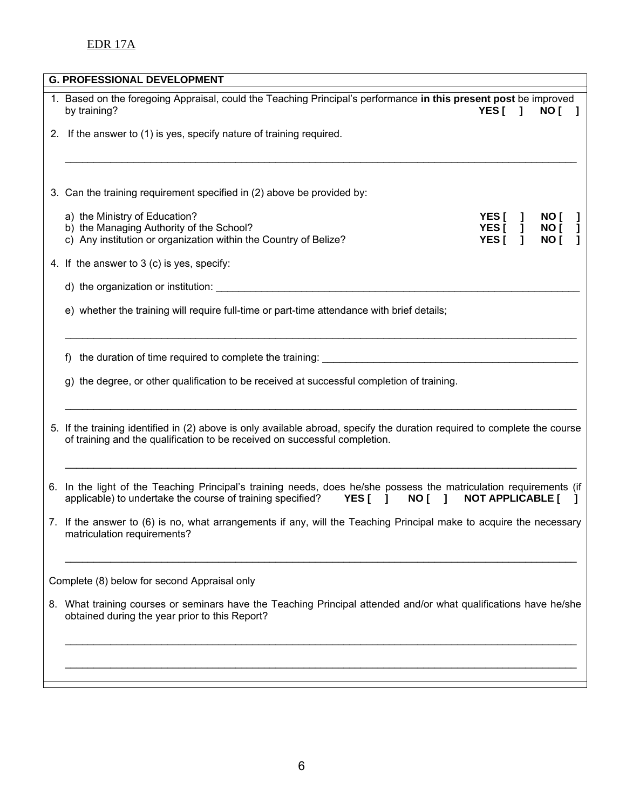## EDR 17A

| <b>G. PROFESSIONAL DEVELOPMENT</b>                                                                                                                                                                                            |                          |     |                      |   |
|-------------------------------------------------------------------------------------------------------------------------------------------------------------------------------------------------------------------------------|--------------------------|-----|----------------------|---|
| 1. Based on the foregoing Appraisal, could the Teaching Principal's performance in this present post be improved<br>by training?                                                                                              | YES <sub>I</sub>         | - 1 | NO [                 |   |
| 2. If the answer to (1) is yes, specify nature of training required.                                                                                                                                                          |                          |     |                      |   |
|                                                                                                                                                                                                                               |                          |     |                      |   |
| 3. Can the training requirement specified in (2) above be provided by:                                                                                                                                                        |                          |     |                      |   |
| a) the Ministry of Education?<br>b) the Managing Authority of the School?<br>c) Any institution or organization within the Country of Belize?                                                                                 | YES[]<br>YES[]<br>YES[ 1 |     | NO [<br>NO [<br>NO [ | L |
| 4. If the answer to 3 (c) is yes, specify:                                                                                                                                                                                    |                          |     |                      |   |
| d) the organization or institution: example and a series of the original state of the series of the series of the series of the series of the series of the series of the series of the series of the series of the series of |                          |     |                      |   |
| e) whether the training will require full-time or part-time attendance with brief details;                                                                                                                                    |                          |     |                      |   |
| the duration of time required to complete the training: Later and the duration of time required to complete the training:<br>f)                                                                                               |                          |     |                      |   |
| g) the degree, or other qualification to be received at successful completion of training.                                                                                                                                    |                          |     |                      |   |
| 5. If the training identified in (2) above is only available abroad, specify the duration required to complete the course<br>of training and the qualification to be received on successful completion.                       |                          |     |                      |   |
| 6. In the light of the Teaching Principal's training needs, does he/she possess the matriculation requirements (if<br>applicable) to undertake the course of training specified?<br>YES[ ]<br>NO [ ]                          | <b>NOT APPLICABLE [</b>  |     |                      |   |
| 7. If the answer to (6) is no, what arrangements if any, will the Teaching Principal make to acquire the necessary<br>matriculation requirements?                                                                             |                          |     |                      |   |
| Complete (8) below for second Appraisal only                                                                                                                                                                                  |                          |     |                      |   |
| 8. What training courses or seminars have the Teaching Principal attended and/or what qualifications have he/she<br>obtained during the year prior to this Report?                                                            |                          |     |                      |   |
|                                                                                                                                                                                                                               |                          |     |                      |   |
|                                                                                                                                                                                                                               |                          |     |                      |   |
|                                                                                                                                                                                                                               |                          |     |                      |   |